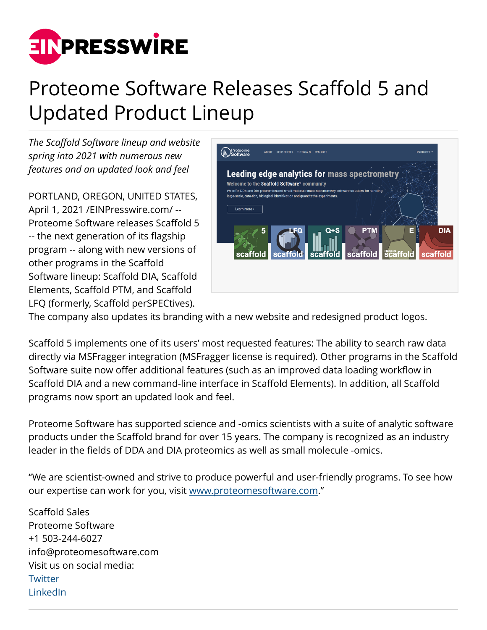

## Proteome Software Releases Scaffold 5 and Updated Product Lineup

*The Scaffold Software lineup and website spring into 2021 with numerous new features and an updated look and feel*

PORTLAND, OREGON, UNITED STATES, April 1, 2021 /[EINPresswire.com/](http://www.einpresswire.com) -- Proteome Software releases Scaffold 5 -- the next generation of its flagship program -- along with new versions of other programs in the Scaffold Software lineup: Scaffold DIA, Scaffold Elements, Scaffold PTM, and Scaffold LFQ (formerly, Scaffold perSPECtives).



The company also updates its branding with a new website and redesigned product logos.

Scaffold 5 implements one of its users' most requested features: The ability to search raw data directly via MSFragger integration (MSFragger license is required). Other programs in the Scaffold Software suite now offer additional features (such as an improved data loading workflow in Scaffold DIA and a new command-line interface in Scaffold Elements). In addition, all Scaffold programs now sport an updated look and feel.

Proteome Software has supported science and -omics scientists with a suite of analytic software products under the Scaffold brand for over 15 years. The company is recognized as an industry leader in the fields of DDA and DIA proteomics as well as small molecule -omics.

"We are scientist-owned and strive to produce powerful and user-friendly programs. To see how our expertise can work for you, visit [www.proteomesoftware.com.](https://www.proteomesoftware.com)"

Scaffold Sales Proteome Software +1 503-244-6027 info@proteomesoftware.com Visit us on social media: **[Twitter](https://twitter.com/proteome_sw)** [LinkedIn](https://www.linkedin.com/company/proteome-software)